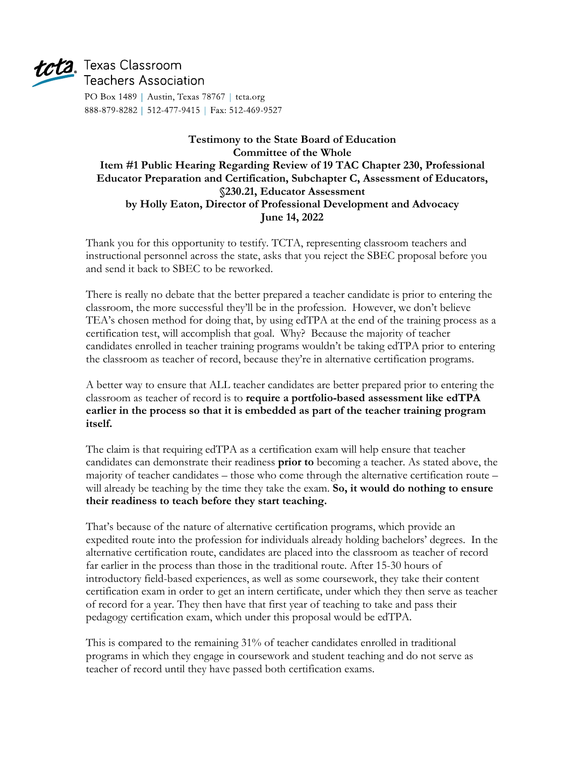

## $tct2$ , Texas Classroom **Teachers Association**

PO Box 1489 | Austin, Texas 78767 | tcta.org 888-879-8282 | 512-477-9415 | Fax: 512-469-9527

## **Testimony to the State Board of Education Committee of the Whole Item #1 Public Hearing Regarding Review of 19 TAC Chapter 230, Professional Educator Preparation and Certification, Subchapter C, Assessment of Educators, §230.21, Educator Assessment by Holly Eaton, Director of Professional Development and Advocacy June 14, 2022**

Thank you for this opportunity to testify. TCTA, representing classroom teachers and instructional personnel across the state, asks that you reject the SBEC proposal before you and send it back to SBEC to be reworked.

There is really no debate that the better prepared a teacher candidate is prior to entering the classroom, the more successful they'll be in the profession. However, we don't believe TEA's chosen method for doing that, by using edTPA at the end of the training process as a certification test, will accomplish that goal. Why? Because the majority of teacher candidates enrolled in teacher training programs wouldn't be taking edTPA prior to entering the classroom as teacher of record, because they're in alternative certification programs.

A better way to ensure that ALL teacher candidates are better prepared prior to entering the classroom as teacher of record is to **require a portfolio-based assessment like edTPA earlier in the process so that it is embedded as part of the teacher training program itself.**

The claim is that requiring edTPA as a certification exam will help ensure that teacher candidates can demonstrate their readiness **prior to** becoming a teacher. As stated above, the majority of teacher candidates – those who come through the alternative certification route – will already be teaching by the time they take the exam. **So, it would do nothing to ensure their readiness to teach before they start teaching.**

That's because of the nature of alternative certification programs, which provide an expedited route into the profession for individuals already holding bachelors' degrees. In the alternative certification route, candidates are placed into the classroom as teacher of record far earlier in the process than those in the traditional route. After 15-30 hours of introductory field-based experiences, as well as some coursework, they take their content certification exam in order to get an intern certificate, under which they then serve as teacher of record for a year. They then have that first year of teaching to take and pass their pedagogy certification exam, which under this proposal would be edTPA.

This is compared to the remaining 31% of teacher candidates enrolled in traditional programs in which they engage in coursework and student teaching and do not serve as teacher of record until they have passed both certification exams.